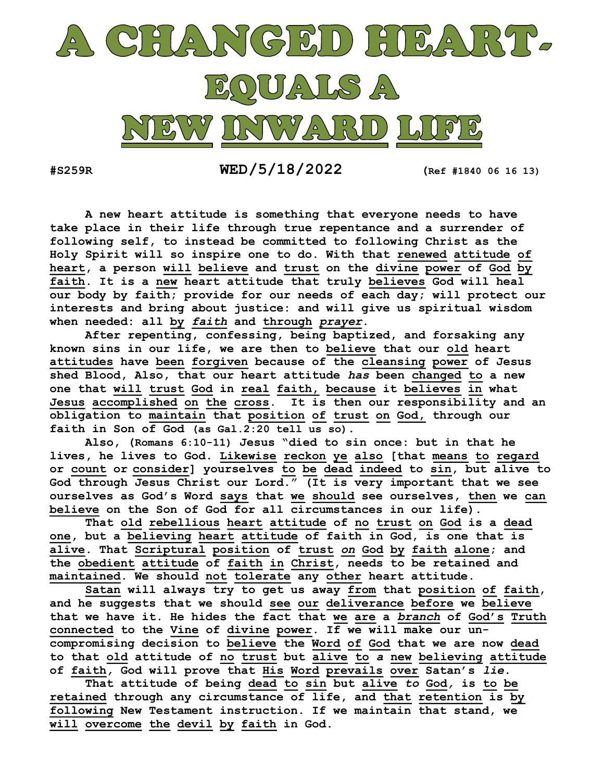

 $\texttt{WED}/5/18/2022$  (Ref #1840 06 16 13)

 A new heart attitude is something that everyone needs to have take place in their life through true repentance and a surrender of following self, to instead be committed to following Christ as the Holy Spirit will so inspire one to do. With that renewed attitude of heart, a person will believe and trust on the divine power of God by faith. It is a new heart attitude that truly believes God will heal our body by faith; provide for our needs of each day; will protect our interests and bring about justice: and will give us spiritual wisdom when needed: all by faith and through prayer.

 After repenting, confessing, being baptized, and forsaking any known sins in our life, we are then to believe that our old heart attitudes have been forgiven because of the cleansing power of Jesus shed Blood, Also, that our heart attitude has been changed to a new one that will trust God in real faith, because it believes in what Jesus accomplished on the cross. It is then our responsibility and an obligation to maintain that position of trust on God, through our faith in Son of God (as Gal.2:20 tell us so).

 Also, (Romans 6:10-11) Jesus "died to sin once: but in that he lives, he lives to God. Likewise reckon ye also [that means to regard or count or consider] yourselves to be dead indeed to sin, but alive to God through Jesus Christ our Lord." (It is very important that we see ourselves as God's Word says that we should see ourselves, then we can believe on the Son of God for all circumstances in our life).

 That old rebellious heart attitude of no trust on God is a dead one, but a believing heart attitude of faith in God, is one that is alive. That Scriptural position of trust on God by faith alone; and the obedient attitude of faith in Christ, needs to be retained and maintained. We should not tolerate any other heart attitude.

 Satan will always try to get us away from that position of faith, and he suggests that we should see our deliverance before we believe that we have it. He hides the fact that we are a *branch* of God's Truth connected to the Vine of divine power. If we will make our uncompromising decision to believe the Word of God that we are now dead to that old attitude of no trust but alive to a new believing attitude of faith, God will prove that His Word prevails over Satan's lie.

That attitude of being dead to sin but alive to God, is to be retained through any circumstance of life, and that retention is by following New Testament instruction. If we maintain that stand, we will overcome the devil by faith in God.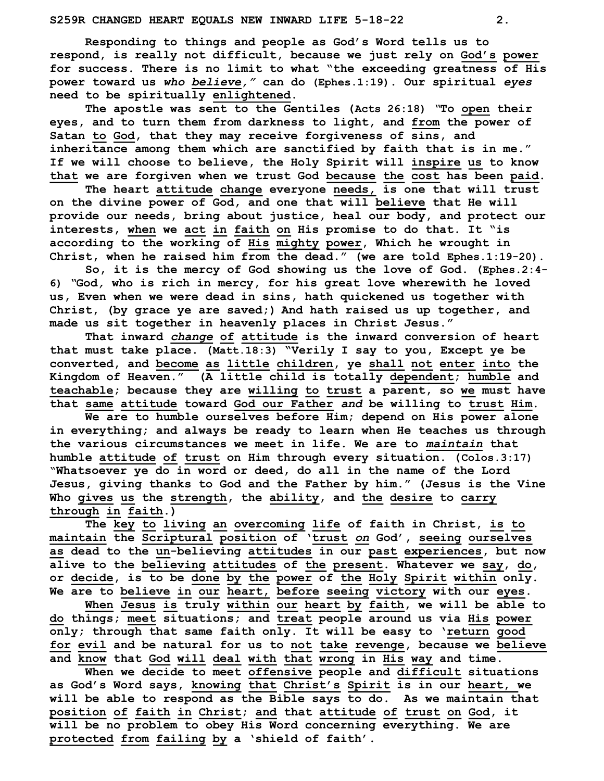Responding to things and people as God's Word tells us to respond, is really not difficult, because we just rely on God's power for success. There is no limit to what "the exceeding greatness of His power toward us who believe," can do (Ephes.1:19). Our spiritual eyes need to be spiritually enlightened.

The apostle was sent to the Gentiles (Acts 26:18) "To open their eyes, and to turn them from darkness to light, and from the power of Satan to God, that they may receive forgiveness of sins, and inheritance among them which are sanctified by faith that is in me." If we will choose to believe, the Holy Spirit will inspire us to know that we are forgiven when we trust God because the cost has been paid.

The heart attitude change everyone needs, is one that will trust on the divine power of God, and one that will believe that He will provide our needs, bring about justice, heal our body, and protect our interests, when we act in faith on His promise to do that. It "is according to the working of His mighty power, Which he wrought in Christ, when he raised him from the dead." (we are told Ephes.1:19-20).

 So, it is the mercy of God showing us the love of God. (Ephes.2:4- 6) "God, who is rich in mercy, for his great love wherewith he loved us, Even when we were dead in sins, hath quickened us together with Christ, (by grace ye are saved;) And hath raised us up together, and made us sit together in heavenly places in Christ Jesus."

That inward change of attitude is the inward conversion of heart that must take place. (Matt.18:3) "Verily I say to you, Except ye be converted, and become as little children, ye shall not enter into the Kingdom of Heaven." (A little child is totally dependent; humble and teachable; because they are willing to trust a parent, so we must have that same attitude toward God our Father and be willing to trust Him.

 We are to humble ourselves before Him; depend on His power alone in everything; and always be ready to learn when He teaches us through the various circumstances we meet in life. We are to maintain that humble attitude of trust on Him through every situation. (Colos.3:17) "Whatsoever ye do in word or deed, do all in the name of the Lord Jesus, giving thanks to God and the Father by him." (Jesus is the Vine Who gives us the strength, the ability, and the desire to carry through in faith.)

The key to living an overcoming life of faith in Christ, is to maintain the Scriptural position of 'trust on God', seeing ourselves as dead to the un-believing attitudes in our past experiences, but now alive to the believing attitudes of the present. Whatever we say, do, or decide, is to be done by the power of the Holy Spirit within only. We are to believe in our heart, before seeing victory with our eyes.

When Jesus is truly within our heart by faith, we will be able to do things; meet situations; and treat people around us via His power only; through that same faith only. It will be easy to 'return good for evil and be natural for us to not take revenge, because we believe and know that God will deal with that wrong in His way and time.

 When we decide to meet offensive people and difficult situations as God's Word says, knowing that Christ's Spirit is in our heart, we will be able to respond as the Bible says to do. As we maintain that position of faith in Christ; and that attitude of trust on God, it will be no problem to obey His Word concerning everything. We are protected from failing by a 'shield of faith'.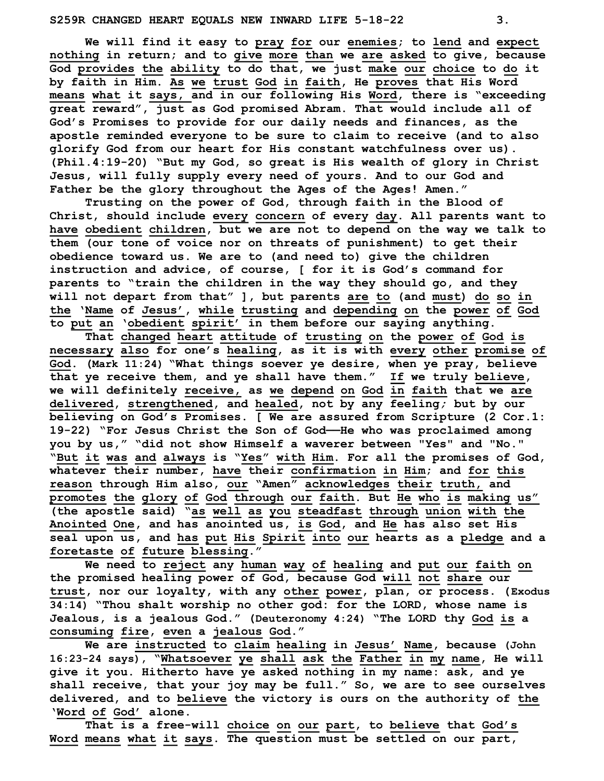We will find it easy to pray for our enemies; to lend and expect nothing in return; and to give more than we are asked to give, because God provides the ability to do that, we just make our choice to do it by faith in Him. As we trust God in faith, He proves that His Word means what it says, and in our following His Word, there is "exceeding great reward", just as God promised Abram. That would include all of God's Promises to provide for our daily needs and finances, as the apostle reminded everyone to be sure to claim to receive (and to also glorify God from our heart for His constant watchfulness over us). (Phil.4:19-20) "But my God, so great is His wealth of glory in Christ Jesus, will fully supply every need of yours. And to our God and Father be the glory throughout the Ages of the Ages! Amen."

 Trusting on the power of God, through faith in the Blood of Christ, should include every concern of every day. All parents want to have obedient children, but we are not to depend on the way we talk to them (our tone of voice nor on threats of punishment) to get their obedience toward us. We are to (and need to) give the children instruction and advice, of course, [ for it is God's command for parents to "train the children in the way they should go, and they will not depart from that" ], but parents are to (and must) do so in the 'Name of Jesus', while trusting and depending on the power of God to put an 'obedient spirit' in them before our saying anything.

 That changed heart attitude of trusting on the power of God is necessary also for one's healing, as it is with every other promise of God. (Mark 11:24) "What things soever ye desire, when ye pray, believe that ye receive them, and ye shall have them." If we truly believe, we will definitely receive, as we depend on God in faith that we are delivered, strengthened, and healed, not by any feeling; but by our believing on God's Promises. [ We are assured from Scripture (2 Cor.1: 19-22) "For Jesus Christ the Son of God——He who was proclaimed among you by us," "did not show Himself a waverer between "Yes" and "No." "But it was and always is "Yes" with Him. For all the promises of God, whatever their number, have their confirmation in Him; and for this reason through Him also, our "Amen" acknowledges their truth, and promotes the glory of God through our faith. But He who is making us" (the apostle said) "as well as you steadfast through union with the Anointed One, and has anointed us, is God, and He has also set His seal upon us, and has put His Spirit into our hearts as a pledge and a foretaste of future blessing."

 We need to reject any human way of healing and put our faith on the promised healing power of God, because God will not share our trust, nor our loyalty, with any other power, plan, or process. (Exodus 34:14) "Thou shalt worship no other god: for the LORD, whose name is Jealous, is a jealous God." (Deuteronomy 4:24) "The LORD thy God is a consuming fire, even a jealous God."

We are instructed to claim healing in Jesus' Name, because (John 16:23-24 says), "Whatsoever ye shall ask the Father in my name, He will give it you. Hitherto have ye asked nothing in my name: ask, and ye shall receive, that your joy may be full." So, we are to see ourselves delivered, and to believe the victory is ours on the authority of the 'Word of God' alone.

That is a free-will choice on our part, to believe that God's Word means what it says. The question must be settled on our part,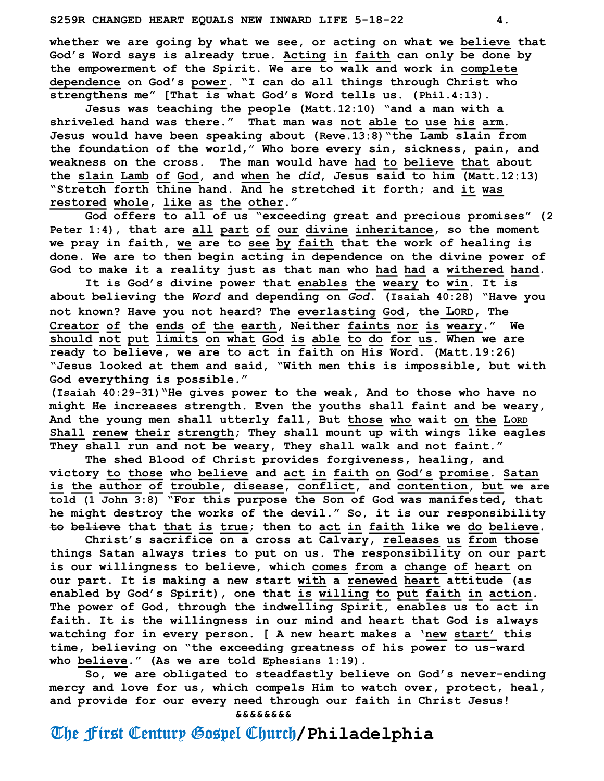whether we are going by what we see, or acting on what we believe that God's Word says is already true. Acting in faith can only be done by the empowerment of the Spirit. We are to walk and work in complete dependence on God's power. "I can do all things through Christ who strengthens me" [That is what God's Word tells us. (Phil.4:13).

 Jesus was teaching the people (Matt.12:10) "and a man with a shriveled hand was there." That man was not able to use his arm. Jesus would have been speaking about (Reve.13:8)"the Lamb slain from the foundation of the world," Who bore every sin, sickness, pain, and weakness on the cross. The man would have had to believe that about the slain Lamb of God, and when he did, Jesus said to him (Matt.12:13) "Stretch forth thine hand. And he stretched it forth; and it was restored whole, like as the other."

 God offers to all of us "exceeding great and precious promises" (2 Peter 1:4), that are all part of our divine inheritance, so the moment we pray in faith, we are to see by faith that the work of healing is done. We are to then begin acting in dependence on the divine power of God to make it a reality just as that man who had had a withered hand.

It is God's divine power that enables the weary to win. It is about believing the Word and depending on God. (Isaiah 40:28) "Have you not known? Have you not heard? The everlasting God, the LORD, The Creator of the ends of the earth, Neither faints nor is weary." We should not put limits on what God is able to do for us. When we are ready to believe, we are to act in faith on His Word. (Matt.19:26) "Jesus looked at them and said, "With men this is impossible, but with God everything is possible."

(Isaiah 40:29-31)"He gives power to the weak, And to those who have no might He increases strength. Even the youths shall faint and be weary, And the young men shall utterly fall, But those who wait on the LORD Shall renew their strength; They shall mount up with wings like eagles They shall run and not be weary, They shall walk and not faint."

 The shed Blood of Christ provides forgiveness, healing, and victory to those who believe and act in faith on God's promise. Satan is the author of trouble, disease, conflict, and contention, but we are told (1 John 3:8) "For this purpose the Son of God was manifested, that he might destroy the works of the devil." So, it is our responsibility to believe that that is true; then to act in faith like we do believe.

Christ's sacrifice on a cross at Calvary, releases us from those things Satan always tries to put on us. The responsibility on our part is our willingness to believe, which comes from a change of heart on our part. It is making a new start with a renewed heart attitude (as enabled by God's Spirit), one that is willing to put faith in action. The power of God, through the indwelling Spirit, enables us to act in faith. It is the willingness in our mind and heart that God is always watching for in every person. [ A new heart makes a 'new start' this time, believing on "the exceeding greatness of his power to us-ward who believe." (As we are told Ephesians 1:19).

So, we are obligated to steadfastly believe on God's never-ending mercy and love for us, which compels Him to watch over, protect, heal, and provide for our every need through our faith in Christ Jesus!

&&&&&&&&

## The First Century Gospel Church/Philadelphia